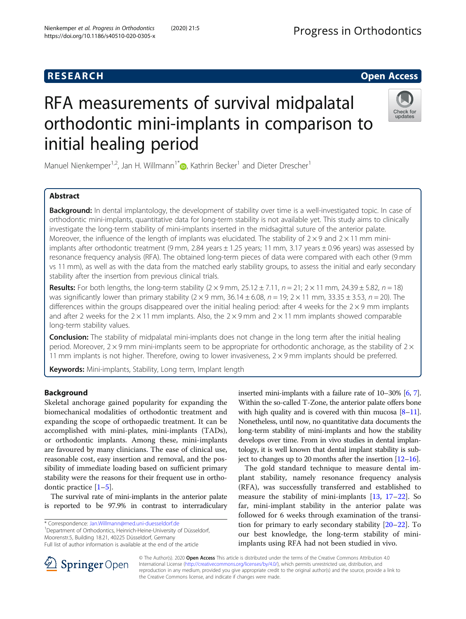## **RESEARCH CHE Open Access**

# RFA measurements of survival midpalatal orthodontic mini-implants in comparison to initial healing period



Manuel Nienkemper<sup>1[,](http://orcid.org/0000-0002-3882-246X)2</sup>, Jan H. Willmann<sup>1\*</sup>  $\bullet$ , Kathrin Becker<sup>1</sup> and Dieter Drescher<sup>1</sup>

## Abstract

Background: In dental implantology, the development of stability over time is a well-investigated topic. In case of orthodontic mini-implants, quantitative data for long-term stability is not available yet. This study aims to clinically investigate the long-term stability of mini-implants inserted in the midsagittal suture of the anterior palate. Moreover, the influence of the length of implants was elucidated. The stability of  $2 \times 9$  and  $2 \times 11$  mm miniimplants after orthodontic treatment (9 mm, 2.84 years ± 1.25 years; 11 mm, 3.17 years ± 0.96 years) was assessed by resonance frequency analysis (RFA). The obtained long-term pieces of data were compared with each other (9 mm vs 11 mm), as well as with the data from the matched early stability groups, to assess the initial and early secondary stability after the insertion from previous clinical trials.

**Results:** For both lengths, the long-term stability  $(2 \times 9 \text{ mm}, 25.12 \pm 7.11, n = 21; 2 \times 11 \text{ mm}, 24.39 \pm 5.82, n = 18)$ was significantly lower than primary stability  $(2 \times 9 \text{ mm}, 36.14 \pm 6.08, n = 19; 2 \times 11 \text{ mm}, 33.35 \pm 3.53, n = 20)$ . The differences within the groups disappeared over the initial healing period: after 4 weeks for the  $2 \times 9$  mm implants and after 2 weeks for the  $2 \times 11$  mm implants. Also, the  $2 \times 9$  mm and  $2 \times 11$  mm implants showed comparable long-term stability values.

Conclusion: The stability of midpalatal mini-implants does not change in the long term after the initial healing period. Moreover,  $2 \times 9$  mm mini-implants seem to be appropriate for orthodontic anchorage, as the stability of  $2 \times$ 11 mm implants is not higher. Therefore, owing to lower invasiveness,  $2 \times 9$  mm implants should be preferred.

Keywords: Mini-implants, Stability, Long term, Implant length

## Background

Skeletal anchorage gained popularity for expanding the biomechanical modalities of orthodontic treatment and expanding the scope of orthopaedic treatment. It can be accomplished with mini-plates, mini-implants (TADs), or orthodontic implants. Among these, mini-implants are favoured by many clinicians. The ease of clinical use, reasonable cost, easy insertion and removal, and the possibility of immediate loading based on sufficient primary stability were the reasons for their frequent use in orthodontic practice  $[1-5]$  $[1-5]$  $[1-5]$  $[1-5]$ .

The survival rate of mini-implants in the anterior palate is reported to be 97.9% in contrast to interradiculary

\* Correspondence: [Jan.Willmann@med.uni-duesseldorf.de](mailto:Jan.Willmann@med.uni-duesseldorf.de) <sup>1</sup>

<sup>1</sup>Department of Orthodontics, Heinrich-Heine-University of Düsseldorf, Moorenstr.5, Building 18.21, 40225 Düsseldorf, Germany Full list of author information is available at the end of the article

The gold standard technique to measure dental implant stability, namely resonance frequency analysis (RFA), was successfully transferred and established to measure the stability of mini-implants [\[13,](#page-5-0) [17](#page-5-0)–[22](#page-6-0)]. So far, mini-implant stability in the anterior palate was followed for 6 weeks through examination of the transition for primary to early secondary stability [[20](#page-5-0)–[22](#page-6-0)]. To our best knowledge, the long-term stability of miniimplants using RFA had not been studied in vivo.



© The Author(s). 2020 Open Access This article is distributed under the terms of the Creative Commons Attribution 4.0 International License ([http://creativecommons.org/licenses/by/4.0/\)](http://creativecommons.org/licenses/by/4.0/), which permits unrestricted use, distribution, and reproduction in any medium, provided you give appropriate credit to the original author(s) and the source, provide a link to the Creative Commons license, and indicate if changes were made.

inserted mini-implants with a failure rate of 10–30% [\[6,](#page-5-0) [7](#page-5-0)]. Within the so-called T-Zone, the anterior palate offers bone with high quality and is covered with thin mucosa  $[8-11]$  $[8-11]$  $[8-11]$  $[8-11]$  $[8-11]$ . Nonetheless, until now, no quantitative data documents the long-term stability of mini-implants and how the stability develops over time. From in vivo studies in dental implantology, it is well known that dental implant stability is subject to changes up to 20 months after the insertion [[12](#page-5-0)–[16](#page-5-0)].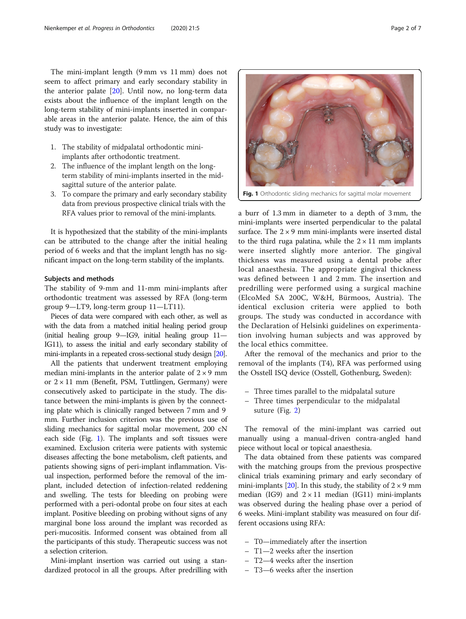The mini-implant length (9 mm vs 11 mm) does not seem to affect primary and early secondary stability in the anterior palate [\[20](#page-5-0)]. Until now, no long-term data exists about the influence of the implant length on the long-term stability of mini-implants inserted in comparable areas in the anterior palate. Hence, the aim of this study was to investigate:

- 1. The stability of midpalatal orthodontic miniimplants after orthodontic treatment.
- 2. The influence of the implant length on the longterm stability of mini-implants inserted in the midsagittal suture of the anterior palate.
- 3. To compare the primary and early secondary stability data from previous prospective clinical trials with the RFA values prior to removal of the mini-implants.

It is hypothesized that the stability of the mini-implants can be attributed to the change after the initial healing period of 6 weeks and that the implant length has no significant impact on the long-term stability of the implants.

#### Subjects and methods

The stability of 9-mm and 11-mm mini-implants after orthodontic treatment was assessed by RFA (long-term group 9—LT9, long-term group 11—LT11).

Pieces of data were compared with each other, as well as with the data from a matched initial healing period group (initial healing group 9—IG9, initial healing group 11— IG11), to assess the initial and early secondary stability of mini-implants in a repeated cross-sectional study design [\[20](#page-5-0)].

All the patients that underwent treatment employing median mini-implants in the anterior palate of  $2 \times 9$  mm or  $2 \times 11$  mm (Benefit, PSM, Tuttlingen, Germany) were consecutively asked to participate in the study. The distance between the mini-implants is given by the connecting plate which is clinically ranged between 7 mm and 9 mm. Further inclusion criterion was the previous use of sliding mechanics for sagittal molar movement, 200 cN each side (Fig. 1). The implants and soft tissues were examined. Exclusion criteria were patients with systemic diseases affecting the bone metabolism, cleft patients, and patients showing signs of peri-implant inflammation. Visual inspection, performed before the removal of the implant, included detection of infection-related reddening and swelling. The tests for bleeding on probing were performed with a peri-odontal probe on four sites at each implant. Positive bleeding on probing without signs of any marginal bone loss around the implant was recorded as peri-mucositis. Informed consent was obtained from all the participants of this study. Therapeutic success was not a selection criterion.

Mini-implant insertion was carried out using a standardized protocol in all the groups. After predrilling with

a burr of 1.3 mm in diameter to a depth of 3 mm, the mini-implants were inserted perpendicular to the palatal surface. The  $2 \times 9$  mm mini-implants were inserted distal to the third ruga palatina, while the  $2 \times 11$  mm implants were inserted slightly more anterior. The gingival

thickness was measured using a dental probe after local anaesthesia. The appropriate gingival thickness was defined between 1 and 2 mm. The insertion and predrilling were performed using a surgical machine (ElcoMed SA 200C, W&H, Bürmoos, Austria). The identical exclusion criteria were applied to both groups. The study was conducted in accordance with the Declaration of Helsinki guidelines on experimentation involving human subjects and was approved by the local ethics committee.

After the removal of the mechanics and prior to the removal of the implants (T4), RFA was performed using the Osstell ISQ device (Osstell, Gothenburg, Sweden):

- Three times parallel to the midpalatal suture
- Three times perpendicular to the midpalatal suture (Fig. [2](#page-2-0))

The removal of the mini-implant was carried out manually using a manual-driven contra-angled hand piece without local or topical anaesthesia.

The data obtained from these patients was compared with the matching groups from the previous prospective clinical trials examining primary and early secondary of mini-implants [\[20\]](#page-5-0). In this study, the stability of  $2 \times 9$  mm median (IG9) and  $2 \times 11$  median (IG11) mini-implants was observed during the healing phase over a period of 6 weeks. Mini-implant stability was measured on four different occasions using RFA:

- T0—immediately after the insertion
- T1—2 weeks after the insertion
- T2—4 weeks after the insertion
- T3—6 weeks after the insertion

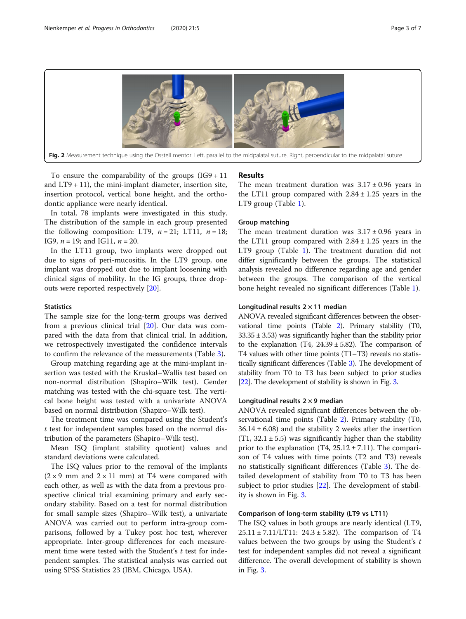<span id="page-2-0"></span>

To ensure the comparability of the groups  $(IG9 + 11)$ and  $LT9 + 11$ ), the mini-implant diameter, insertion site, insertion protocol, vertical bone height, and the orthodontic appliance were nearly identical.

In total, 78 implants were investigated in this study. The distribution of the sample in each group presented the following composition: LT9,  $n = 21$ ; LT11,  $n = 18$ ; IG9,  $n = 19$ ; and IG11,  $n = 20$ .

In the LT11 group, two implants were dropped out due to signs of peri-mucositis. In the LT9 group, one implant was dropped out due to implant loosening with clinical signs of mobility. In the IG groups, three dropouts were reported respectively [[20](#page-5-0)].

#### **Statistics**

The sample size for the long-term groups was derived from a previous clinical trial [[20\]](#page-5-0). Our data was compared with the data from that clinical trial. In addition, we retrospectively investigated the confidence intervals to confirm the relevance of the measurements (Table [3\)](#page-4-0).

Group matching regarding age at the mini-implant insertion was tested with the Kruskal–Wallis test based on non-normal distribution (Shapiro–Wilk test). Gender matching was tested with the chi-square test. The vertical bone height was tested with a univariate ANOVA based on normal distribution (Shapiro–Wilk test).

The treatment time was compared using the Student's t test for independent samples based on the normal distribution of the parameters (Shapiro–Wilk test).

Mean ISQ (implant stability quotient) values and standard deviations were calculated.

The ISQ values prior to the removal of the implants  $(2 \times 9 \text{ mm and } 2 \times 11 \text{ mm})$  at T4 were compared with each other, as well as with the data from a previous prospective clinical trial examining primary and early secondary stability. Based on a test for normal distribution for small sample sizes (Shapiro–Wilk test), a univariate ANOVA was carried out to perform intra-group comparisons, followed by a Tukey post hoc test, wherever appropriate. Inter-group differences for each measurement time were tested with the Student's  $t$  test for independent samples. The statistical analysis was carried out using SPSS Statistics 23 (IBM, Chicago, USA).

### Results

The mean treatment duration was  $3.17 \pm 0.96$  years in the LT11 group compared with  $2.84 \pm 1.25$  years in the LT9 group (Table [1\)](#page-3-0).

#### Group matching

The mean treatment duration was  $3.17 \pm 0.96$  years in the LT11 group compared with  $2.84 \pm 1.25$  years in the LT9 group (Table [1](#page-3-0)). The treatment duration did not differ significantly between the groups. The statistical analysis revealed no difference regarding age and gender between the groups. The comparison of the vertical bone height revealed no significant differences (Table [1\)](#page-3-0).

#### Longitudinal results  $2 \times 11$  median

ANOVA revealed significant differences between the observational time points (Table [2](#page-3-0)). Primary stability (T0,  $33.35 \pm 3.53$ ) was significantly higher than the stability prior to the explanation (T4,  $24.39 \pm 5.82$ ). The comparison of T4 values with other time points (T1–T3) reveals no statistically significant differences (Table [3\)](#page-4-0). The development of stability from T0 to T3 has been subject to prior studies [[22](#page-6-0)]. The development of stability is shown in Fig. [3](#page-4-0).

## Longitudinal results  $2 \times 9$  median

ANOVA revealed significant differences between the observational time points (Table [2\)](#page-3-0). Primary stability (T0,  $36.14 \pm 6.08$ ) and the stability 2 weeks after the insertion (T1,  $32.1 \pm 5.5$ ) was significantly higher than the stability prior to the explanation (T4,  $25.12 \pm 7.11$ ). The comparison of T4 values with time points (T2 and T3) reveals no statistically significant differences (Table [3](#page-4-0)). The detailed development of stability from T0 to T3 has been subject to prior studies [\[22](#page-6-0)]. The development of stability is shown in Fig. [3.](#page-4-0)

#### Comparison of long-term stability (LT9 vs LT11)

The ISQ values in both groups are nearly identical (LT9, 25.11 ± 7.11/LT11: 24.3 ± 5.82). The comparison of T4 values between the two groups by using the Student's  $t$ test for independent samples did not reveal a significant difference. The overall development of stability is shown in Fig. [3](#page-4-0).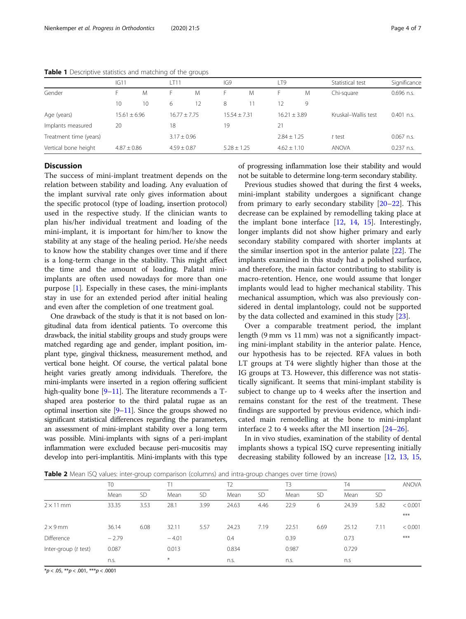|                        | IG11             |    | LT11            |    | IG9             |   | LT9             |   | Statistical test    | Significance |
|------------------------|------------------|----|-----------------|----|-----------------|---|-----------------|---|---------------------|--------------|
| Gender                 |                  | M  | ь.              | M  | ۲.              | M | н.              | M | Chi-square          | $0.696$ n.s. |
|                        | 10               | 10 | 6               | 12 | 8               |   | 12              | 9 |                     |              |
| Age (years)            | $15.61 \pm 6.96$ |    | $16.77 + 7.75$  |    | $15.54 + 7.31$  |   | $16.21 + 3.89$  |   | Kruskal-Wallis test | $0.401$ n.s. |
| Implants measured      | 20               |    | 18              |    | 19              |   | 21              |   |                     |              |
| Treatment time (years) |                  |    | $3.17 \pm 0.96$ |    |                 |   | $2.84 \pm 1.25$ |   | t test              | $0.067$ n.s. |
| Vertical bone height   | $4.87 \pm 0.86$  |    | $4.59 \pm 0.87$ |    | $5.28 \pm 1.25$ |   | $4.62 \pm 1.10$ |   | <b>ANOVA</b>        | $0.237$ n.s. |

<span id="page-3-0"></span>Table 1 Descriptive statistics and matching of the groups

## **Discussion**

The success of mini-implant treatment depends on the relation between stability and loading. Any evaluation of the implant survival rate only gives information about the specific protocol (type of loading, insertion protocol) used in the respective study. If the clinician wants to plan his/her individual treatment and loading of the mini-implant, it is important for him/her to know the stability at any stage of the healing period. He/she needs to know how the stability changes over time and if there is a long-term change in the stability. This might affect the time and the amount of loading. Palatal miniimplants are often used nowadays for more than one purpose [\[1](#page-5-0)]. Especially in these cases, the mini-implants stay in use for an extended period after initial healing and even after the completion of one treatment goal.

One drawback of the study is that it is not based on longitudinal data from identical patients. To overcome this drawback, the initial stability groups and study groups were matched regarding age and gender, implant position, implant type, gingival thickness, measurement method, and vertical bone height. Of course, the vertical palatal bone height varies greatly among individuals. Therefore, the mini-implants were inserted in a region offering sufficient high-quality bone [[9](#page-5-0)–[11](#page-5-0)]. The literature recommends a Tshaped area posterior to the third palatal rugae as an optimal insertion site [\[9](#page-5-0)–[11\]](#page-5-0). Since the groups showed no significant statistical differences regarding the parameters, an assessment of mini-implant stability over a long term was possible. Mini-implants with signs of a peri-implant inflammation were excluded because peri-mucositis may develop into peri-implantitis. Mini-implants with this type of progressing inflammation lose their stability and would not be suitable to determine long-term secondary stability.

Previous studies showed that during the first 4 weeks, mini-implant stability undergoes a significant change from primary to early secondary stability [\[20](#page-5-0)–[22\]](#page-6-0). This decrease can be explained by remodelling taking place at the implant bone interface [[12,](#page-5-0) [14](#page-5-0), [15\]](#page-5-0). Interestingly, longer implants did not show higher primary and early secondary stability compared with shorter implants at the similar insertion spot in the anterior palate [\[22\]](#page-6-0). The implants examined in this study had a polished surface, and therefore, the main factor contributing to stability is macro-retention. Hence, one would assume that longer implants would lead to higher mechanical stability. This mechanical assumption, which was also previously considered in dental implantology, could not be supported by the data collected and examined in this study [\[23](#page-6-0)].

Over a comparable treatment period, the implant length (9 mm vs 11 mm) was not a significantly impacting mini-implant stability in the anterior palate. Hence, our hypothesis has to be rejected. RFA values in both LT groups at T4 were slightly higher than those at the IG groups at T3. However, this difference was not statistically significant. It seems that mini-implant stability is subject to change up to 4 weeks after the insertion and remains constant for the rest of the treatment. These findings are supported by previous evidence, which indicated main remodelling at the bone to mini-implant interface 2 to 4 weeks after the MI insertion [[24](#page-6-0)–[26](#page-6-0)].

In in vivo studies, examination of the stability of dental implants shows a typical ISQ curve representing initially decreasing stability followed by an increase [\[12](#page-5-0), [13](#page-5-0), [15](#page-5-0),

**Table 2** Mean ISQ values: inter-group comparison (columns) and intra-group changes over time (rows)

|                      | T <sub>0</sub> |           |         |           |       |           | T3    |           | Τ4    |           | <b>ANOVA</b> |
|----------------------|----------------|-----------|---------|-----------|-------|-----------|-------|-----------|-------|-----------|--------------|
|                      | Mean           | <b>SD</b> | Mean    | <b>SD</b> | Mean  | <b>SD</b> | Mean  | <b>SD</b> | Mean  | <b>SD</b> |              |
| $2 \times 11$ mm     | 33.35          | 3.53      | 28.1    | 3.99      | 24.63 | 4.46      | 22.9  | 6         | 24.39 | 5.82      | < 0.001      |
|                      |                |           |         |           |       |           |       |           |       |           | $***$        |
| $2 \times 9$ mm      | 36.14          | 6.08      | 32.11   | 5.57      | 24.23 | 7.19      | 22.51 | 6.69      | 25.12 | 7.11      | < 0.001      |
| Difference           | $-2.79$        |           | $-4.01$ |           | 0.4   |           | 0.39  |           | 0.73  |           | $***$        |
| Inter-group (t test) | 0.087          |           | 0.013   |           | 0.834 |           | 0.987 |           | 0.729 |           |              |
|                      | n.s.           |           | $\ast$  |           | n.s.  |           | n.s.  |           | n.s   |           |              |

 $*p < .05, **p < .001, **p < .0001$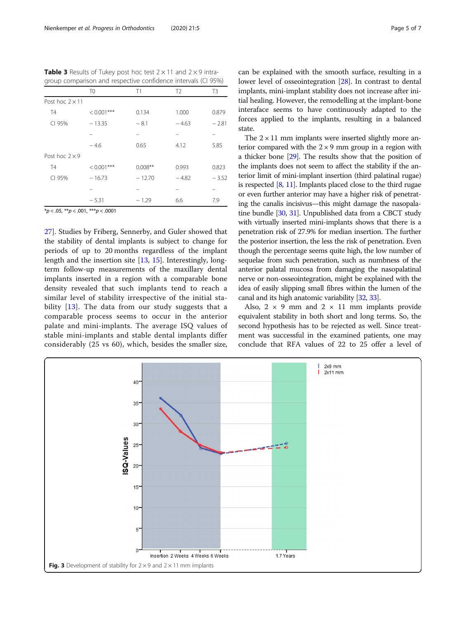<span id="page-4-0"></span>**Table 3** Results of Tukey post hoc test  $2 \times 11$  and  $2 \times 9$  intragroup comparison and respective confidence intervals (CI 95%)

|                        | T <sub>0</sub> | Τ1        | T <sub>2</sub> | T3      |
|------------------------|----------------|-----------|----------------|---------|
| Post hoc $2 \times 11$ |                |           |                |         |
| <b>T4</b>              | $< 0.001$ ***  | 0.134     | 1.000          | 0.879   |
| CI 95%                 | $-13.35$       | $-8.1$    | $-4.63$        | $-2.81$ |
|                        |                |           |                |         |
|                        | $-4.6$         | 0.65      | 4.12           | 5.85    |
| Post hoc $2 \times 9$  |                |           |                |         |
| <b>T4</b>              | $< 0.001$ ***  | $0.008**$ | 0.993          | 0.823   |
| CI 95%                 | $-16.73$       | $-12.70$  | $-4.82$        | $-3.52$ |
|                        |                |           |                |         |
|                        | $-5.31$        | $-1.29$   | 6.6            | 7.9     |

 $**p* < .05, ***p* < .001, ****p* < .0001$ 

[27\]](#page-6-0). Studies by Friberg, Sennerby, and Guler showed that the stability of dental implants is subject to change for periods of up to 20 months regardless of the implant length and the insertion site [\[13](#page-5-0), [15](#page-5-0)]. Interestingly, longterm follow-up measurements of the maxillary dental implants inserted in a region with a comparable bone density revealed that such implants tend to reach a similar level of stability irrespective of the initial stability  $[13]$ . The data from our study suggests that a comparable process seems to occur in the anterior palate and mini-implants. The average ISQ values of stable mini-implants and stable dental implants differ considerably (25 vs 60), which, besides the smaller size, can be explained with the smooth surface, resulting in a lower level of osseointegration [[28](#page-6-0)]. In contrast to dental implants, mini-implant stability does not increase after initial healing. However, the remodelling at the implant-bone interaface seems to have continuously adapted to the forces applied to the implants, resulting in a balanced state.

The  $2 \times 11$  mm implants were inserted slightly more anterior compared with the  $2 \times 9$  mm group in a region with a thicker bone [[29](#page-6-0)]. The results show that the position of the implants does not seem to affect the stability if the anterior limit of mini-implant insertion (third palatinal rugae) is respected  $[8, 11]$  $[8, 11]$  $[8, 11]$ . Implants placed close to the third rugae or even further anterior may have a higher risk of penetrating the canalis incisivus—this might damage the nasopalatine bundle [[30,](#page-6-0) [31](#page-6-0)]. Unpublished data from a CBCT study with virtually inserted mini-implants shows that there is a penetration risk of 27.9% for median insertion. The further the posterior insertion, the less the risk of penetration. Even though the percentage seems quite high, the low number of sequelae from such penetration, such as numbness of the anterior palatal mucosa from damaging the nasopalatinal nerve or non-osseointegration, might be explained with the idea of easily slipping small fibres within the lumen of the canal and its high anatomic variability [\[32,](#page-6-0) [33\]](#page-6-0).

Also,  $2 \times 9$  mm and  $2 \times 11$  mm implants provide equivalent stability in both short and long terms. So, the second hypothesis has to be rejected as well. Since treatment was successful in the examined patients, one may conclude that RFA values of 22 to 25 offer a level of

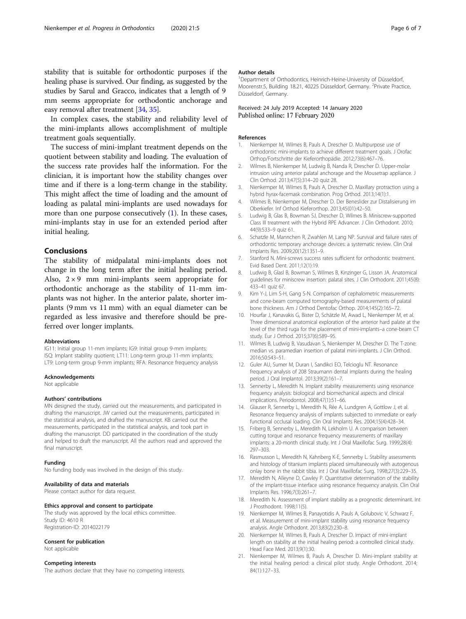<span id="page-5-0"></span>In complex cases, the stability and reliability level of the mini-implants allows accomplishment of multiple treatment goals sequentially.

The success of mini-implant treatment depends on the quotient between stability and loading. The evaluation of the success rate provides half the information. For the clinician, it is important how the stability changes over time and if there is a long-term change in the stability. This might affect the time of loading and the amount of loading as palatal mini-implants are used nowadays for more than one purpose consecutively (1). In these cases, mini-implants stay in use for an extended period after initial healing.

### Conclusions

The stability of midpalatal mini-implants does not change in the long term after the initial healing period. Also,  $2 \times 9$  mm mini-implants seem appropriate for orthodontic anchorage as the stability of 11-mm implants was not higher. In the anterior palate, shorter implants (9 mm vs 11 mm) with an equal diameter can be regarded as less invasive and therefore should be preferred over longer implants.

#### Abbreviations

IG11: Initial group 11-mm implants; IG9: Initial group 9-mm implants; ISQ: Implant stability quotient; LT11: Long-term group 11-mm implants; LT9: Long-term group 9-mm implants; RFA: Resonance frequency analysis

#### Acknowledgements

Not applicable

#### Authors' contributions

MN designed the study, carried out the measurements, and participated in drafting the manuscript. JW carried out the measurements, participated in the statistical analysis, and drafted the manuscript. KB carried out the measurements, participated in the statistical analysis, and took part in drafting the manuscript. DD participated in the coordination of the study and helped to draft the manuscript. All the authors read and approved the final manuscript.

#### Funding

No funding body was involved in the design of this study.

#### Availability of data and materials

Please contact author for data request.

#### Ethics approval and consent to participate

The study was approved by the local ethics committee. Study ID: 4610 R Registration-ID: 2014022179

#### Consent for publication

Not applicable

#### Competing interests

The authors declare that they have no competing interests.

#### Author details

<sup>1</sup>Department of Orthodontics, Heinrich-Heine-University of Düsseldorf, Moorenstr.5, Building 18.21, 40225 Düsseldorf, Germany. <sup>2</sup>Private Practice, Düsseldorf, Germany.

#### Received: 24 July 2019 Accepted: 14 January 2020 Published online: 17 February 2020

#### References

- 1. Nienkemper M, Wilmes B, Pauls A, Drescher D. Multipurpose use of orthodontic mini-implants to achieve different treatment goals. J Orofac Orthop/Fortschritte der Kieferorthopädie. 2012;73(6):467–76.
- 2. Wilmes B, Nienkemper M, Ludwig B, Nanda R, Drescher D. Upper-molar intrusion using anterior palatal anchorage and the Mousetrap appliance. J Clin Orthod. 2013;47(5):314–20 quiz 28.
- 3. Nienkemper M, Wilmes B, Pauls A, Drescher D. Maxillary protraction using a hybrid hyrax-facemask combination. Prog Orthod. 2013;14(1):1.
- 4. Wilmes B, Nienkemper M, Drescher D. Der Beneslider zur Distalisierung im Oberkiefer. Inf Orthod Kieferorthop. 2013;45(01):42–50.
- 5. Ludwig B, Glas B, Bowman SJ, Drescher D, Wilmes B. Miniscrew-supported Class III treatment with the Hybrid RPE Advancer. J Clin Orthodont. 2010; 44(9):533–9 quiz 61.
- 6. Schatzle M, Mannchen R, Zwahlen M, Lang NP. Survival and failure rates of orthodontic temporary anchorage devices: a systematic review. Clin Oral Implants Res. 2009;20(12):1351–9.
- 7. Stanford N. Mini-screws success rates sufficient for orthodontic treatment. Evid Based Dent. 2011;12(1):19.
- 8. Ludwig B, Glasl B, Bowman S, Wilmes B, Kinzinger G, Lisson JA. Anatomical guidelines for miniscrew insertion: palatal sites. J Clin Orthodont. 2011;45(8): 433–41 quiz 67.
- 9. Kim Y-J, Lim S-H, Gang S-N. Comparison of cephalometric measurements and cone-beam computed tomography-based measurements of palatal bone thickness. Am J Orthod Dentofac Orthop. 2014;145(2):165–72.
- 10. Hourfar J, Kanavakis G, Bister D, Schätzle M, Awad L, Nienkemper M, et al. Three dimensional anatomical exploration of the anterior hard palate at the level of the third ruga for the placement of mini-implants–a cone-beam CT study. Eur J Orthod. 2015;37(6):589–95.
- 11. Wilmes B, Ludwig B, Vasudavan S, Nienkemper M, Drescher D. The T-zone: median vs. paramedian insertion of palatal mini-implants. J Clin Orthod. 2016;50:543–51.
- 12. Guler AU, Sumer M, Duran I, Sandikci EO, Telcioglu NT. Resonance frequency analysis of 208 Straumann dental implants during the healing period. J Oral Implantol. 2013;39(2):161–7.
- 13. Sennerby L, Meredith N. Implant stability measurements using resonance frequency analysis: biological and biomechanical aspects and clinical implications. Periodontol. 2008;47(1):51–66.
- 14. Glauser R, Sennerby L, Meredith N, Rée A, Lundgren A, Gottlow J, et al. Resonance frequency analysis of implants subjected to immediate or early functional occlusal loading. Clin Oral Implants Res. 2004;15(4):428–34.
- 15. Friberg B, Sennerby L, Meredith N, Lekholm U. A comparison between cutting torque and resonance frequency measurements of maxillary implants: a 20-month clinical study. Int J Oral Maxillofac Surg. 1999;28(4): 297–303.
- 16. Rasmusson L, Meredith N, Kahnberg K-E, Sennerby L. Stability assessments and histology of titanium implants placed simultaneously with autogenous onlay bone in the rabbit tibia. Int J Oral Maxillofac Surg. 1998;27(3):229–35.
- 17. Meredith N, Alleyne D, Cawley P. Quantitative determination of the stability of the implant-tissue interface using resonance frequency analysis. Clin Oral Implants Res. 1996;7(3):261–7.
- 18. Meredith N. Assessment of implant stability as a prognostic determinant. Int J Prosthodont. 1998;11(5).
- 19. Nienkemper M, Wilmes B, Panayotidis A, Pauls A, Golubovic V, Schwarz F, et al. Measurement of mini-implant stability using resonance frequency analysis. Angle Orthodont. 2013;83(2):230–8.
- 20. Nienkemper M, Wilmes B, Pauls A, Drescher D. Impact of mini-implant length on stability at the initial healing period: a controlled clinical study. Head Face Med. 2013;9(1):30.
- 21. Nienkemper M, Wilmes B, Pauls A, Drescher D. Mini-implant stability at the initial healing period: a clinical pilot study. Angle Orthodont. 2014; 84(1):127–33.